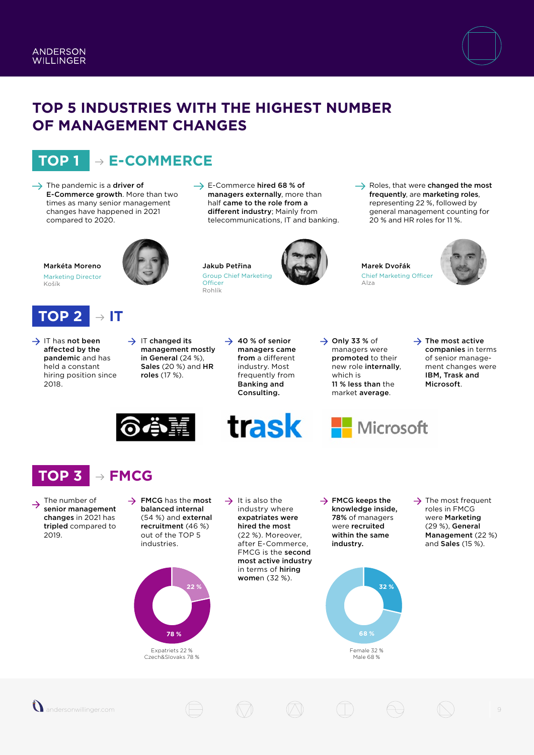

### **TOP 5 INDUSTRIES WITH THE HIGHEST NUMBER OF MANAGEMENT CHANGES**

**Officer** Rohlík

# **TOP 1 E-COMMERCE**

- $\rightarrow$  The pandemic is a driver of E-Commerce growth. More than two times as many senior management changes have happened in 2021 compared to 2020.
- $\rightarrow$  E-Commerce hired 68 % of managers externally, more than half came to the role from a different industry; Mainly from telecommunications, IT and banking.
- $\rightarrow$  Roles, that were changed the most frequently, are marketing roles, representing 22 %, followed by general management counting for 20 % and HR roles for 11 %.

Jakub Petřina Group Chief Marketing



#### Marek Dvořák Chief Marketing Officer Alza



Markéta Moreno Marketing Director

Košík



- $\rightarrow$  IT has not been affected by the pandemic and has held a constant hiring position since 2018.
- $\rightarrow$  IT changed its management mostly in General (24 %), Sales (20 %) and HR roles (17 %).
- $\rightarrow$  40 % of senior managers came from a different industry. Most frequently from Banking and Consulting.

trask

 $\rightarrow$  Only 33 % of managers were promoted to their new role internally, which is 11 % less than the market average.

Microsoft

 $\rightarrow$  The most active companies in terms of senior management changes were IBM, Trask and Microsoft.



## **TOP 3 FMCG**

- The number of  $\rightarrow$ senior management changes in 2021 has tripled compared to 2019.
- $\rightarrow$  FMCG has the most balanced internal (54 %) and external recruitment (46 %) out of the TOP 5 industries.



Expatriets 22 % Czech&Slovaks 78 %

 $\rightarrow$  It is also the industry where expatriates were hired the most (22 %). Moreover, after E-Commerce, FMCG is the second most active industry in terms of hiring women (32 %).

 $\rightarrow$  FMCG keeps the knowledge inside, 78% of managers were recruited within the same industry.



A.

 $\rightarrow$  The most frequent roles in FMCG were Marketing (29 %), General Management (22 %) and Sales (15 %).

9